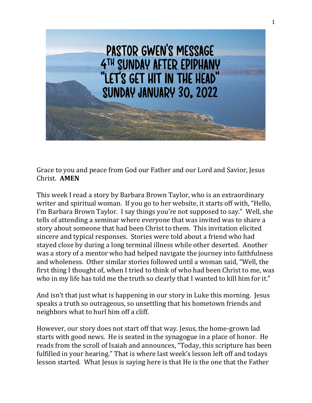

Grace to you and peace from God our Father and our Lord and Savior, Jesus Christ. **AMEN**

This week I read a story by Barbara Brown Taylor, who is an extraordinary writer and spiritual woman. If you go to her website, it starts off with, "Hello, I'm Barbara Brown Taylor. I say things you're not supposed to say." Well, she tells of attending a seminar where everyone that was invited was to share a story about someone that had been Christ to them. This invitation elicited sincere and typical responses. Stories were told about a friend who had stayed close by during a long terminal illness while other deserted. Another was a story of a mentor who had helped navigate the journey into faithfulness and wholeness. Other similar stories followed until a woman said, "Well, the first thing I thought of, when I tried to think of who had been Christ to me, was who in my life has told me the truth so clearly that I wanted to kill him for it."

And isn't that just what is happening in our story in Luke this morning. Jesus speaks a truth so outrageous, so unsettling that his hometown friends and neighbors what to hurl him off a cliff.

However, our story does not start off that way. Jesus, the home-grown lad starts with good news. He is seated in the synagogue in a place of honor. He reads from the scroll of Isaiah and announces, "Today, this scripture has been fulfilled in your hearing." That is where last week's lesson left off and todays lesson started. What Jesus is saying here is that He is the one that the Father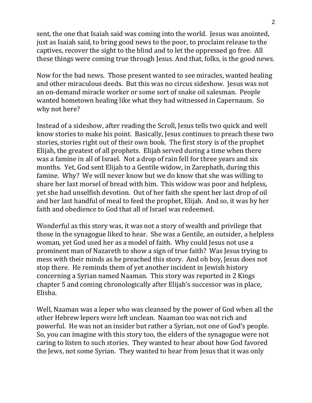sent, the one that Isaiah said was coming into the world. Jesus was anointed, just as Isaiah said, to bring good news to the poor, to proclaim release to the captives, recover the sight to the blind and to let the oppressed go free. All these things were coming true through Jesus. And that, folks, is the good news.

Now for the bad news. Those present wanted to see miracles, wanted healing and other miraculous deeds. But this was no circus sideshow. Jesus was not an on-demand miracle worker or some sort of snake oil salesman. People wanted hometown healing like what they had witnessed in Capernaum. So why not here?

Instead of a sideshow, after reading the Scroll, Jesus tells two quick and well know stories to make his point. Basically, Jesus continues to preach these two stories, stories right out of their own book. The first story is of the prophet Elijah, the greatest of all prophets. Elijah served during a time when there was a famine in all of Israel. Not a drop of rain fell for three years and six months. Yet, God sent Elijah to a Gentile widow, in Zarephath, during this famine. Why? We will never know but we do know that she was willing to share her last morsel of bread with him. This widow was poor and helpless, yet she had unselfish devotion. Out of her faith she spent her last drop of oil and her last handful of meal to feed the prophet, Elijah. And so, it was by her faith and obedience to God that all of Israel was redeemed.

Wonderful as this story was, it was not a story of wealth and privilege that those in the synagogue liked to hear. She was a Gentile, an outsider, a helpless woman, yet God used her as a model of faith. Why could Jesus not use a prominent man of Nazareth to show a sign of true faith? Was Jesus trying to mess with their minds as he preached this story. And oh boy, Jesus does not stop there. He reminds them of yet another incident in Jewish history concerning a Syrian named Naaman. This story was reported in 2 Kings chapter 5 and coming chronologically after Elijah's successor was in place, Elisha.

Well, Naaman was a leper who was cleansed by the power of God when all the other Hebrew lepers were left unclean. Naaman too was not rich and powerful. He was not an insider but rather a Syrian, not one of God's people. So, you can imagine with this story too, the elders of the synagogue were not caring to listen to such stories. They wanted to hear about how God favored the Jews, not some Syrian. They wanted to hear from Jesus that it was only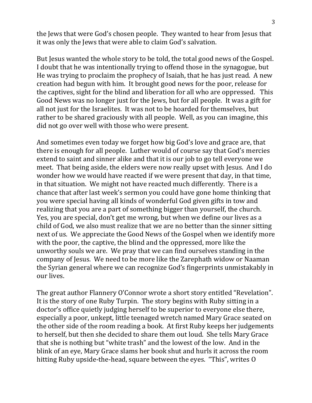the Jews that were God's chosen people. They wanted to hear from Jesus that it was only the Jews that were able to claim God's salvation.

But Jesus wanted the whole story to be told, the total good news of the Gospel. I doubt that he was intentionally trying to offend those in the synagogue, but He was trying to proclaim the prophecy of Isaiah, that he has just read. A new creation had begun with him. It brought good news for the poor, release for the captives, sight for the blind and liberation for all who are oppressed. This Good News was no longer just for the Jews, but for all people. It was a gift for all not just for the Israelites. It was not to be hoarded for themselves, but rather to be shared graciously with all people. Well, as you can imagine, this did not go over well with those who were present.

And sometimes even today we forget how big God's love and grace are, that there is enough for all people. Luther would of course say that God's mercies extend to saint and sinner alike and that it is our job to go tell everyone we meet. That being aside, the elders were now really upset with Jesus. And I do wonder how we would have reacted if we were present that day, in that time, in that situation. We might not have reacted much differently. There is a chance that after last week's sermon you could have gone home thinking that you were special having all kinds of wonderful God given gifts in tow and realizing that you are a part of something bigger than yourself, the church. Yes, you are special, don't get me wrong, but when we define our lives as a child of God, we also must realize that we are no better than the sinner sitting next of us. We appreciate the Good News of the Gospel when we identify more with the poor, the captive, the blind and the oppressed, more like the unworthy souls we are. We pray that we can find ourselves standing in the company of Jesus. We need to be more like the Zarephath widow or Naaman the Syrian general where we can recognize God's fingerprints unmistakably in our lives.

The great author Flannery O'Connor wrote a short story entitled "Revelation". It is the story of one Ruby Turpin. The story begins with Ruby sitting in a doctor's office quietly judging herself to be superior to everyone else there, especially a poor, unkept, little teenaged wretch named Mary Grace seated on the other side of the room reading a book. At first Ruby keeps her judgements to herself, but then she decided to share them out loud. She tells Mary Grace that she is nothing but "white trash" and the lowest of the low. And in the blink of an eye, Mary Grace slams her book shut and hurls it across the room hitting Ruby upside-the-head, square between the eyes. "This", writes O